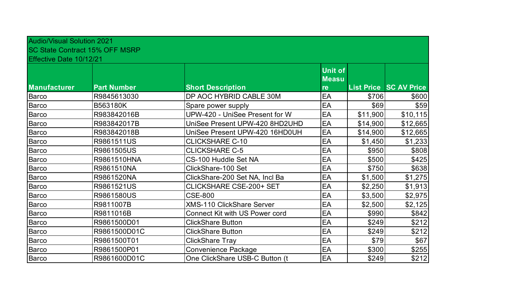| <b>Audio/Visual Solution 2021</b> | <b>SC State Contract 15% OFF MSRP</b> |                                       |                                |          |                               |
|-----------------------------------|---------------------------------------|---------------------------------------|--------------------------------|----------|-------------------------------|
| Effective Date 10/12/21           |                                       |                                       | <b>Unit of</b><br><b>Measu</b> |          |                               |
| <b>Manufacturer</b>               | <b>Part Number</b>                    | <b>Short Description</b>              | re                             |          | <b>List Price SC AV Price</b> |
| <b>Barco</b>                      | R9845613030                           | DP AOC HYBRID CABLE 30M               | EA                             | \$706    | \$600                         |
| Barco                             | B563180K                              | Spare power supply                    | EA                             | \$69     | \$59                          |
| <b>Barco</b>                      | R983842016B                           | UPW-420 - UniSee Present for W        | EA                             | \$11,900 | \$10,115                      |
| <b>Barco</b>                      | R983842017B                           | UniSee Present UPW-420 8HD2UHD        | EA                             | \$14,900 | \$12,665                      |
| <b>Barco</b>                      | R983842018B                           | UniSee Present UPW-420 16HD0UH        | EA                             | \$14,900 | \$12,665                      |
| <b>Barco</b>                      | R9861511US                            | <b>CLICKSHARE C-10</b>                | EA                             | \$1,450  | \$1,233                       |
| Barco                             | R9861505US                            | <b>CLICKSHARE C-5</b>                 | EA                             | \$950    | \$808                         |
| Barco                             | R9861510HNA                           | CS-100 Huddle Set NA                  | EA                             | \$500    | \$425                         |
| <b>Barco</b>                      | R9861510NA                            | ClickShare-100 Set                    | EA                             | \$750    | \$638                         |
| Barco                             | R9861520NA                            | ClickShare-200 Set NA, Incl Ba        | EA                             | \$1,500  | \$1,275                       |
| Barco                             | R9861521US                            | <b>CLICKSHARE CSE-200+ SET</b>        | EA                             | \$2,250  | \$1,913                       |
| <b>Barco</b>                      | R9861580US                            | <b>CSE-800</b>                        | EA                             | \$3,500  | \$2,975                       |
| <b>Barco</b>                      | R9811007B                             | <b>XMS-110 ClickShare Server</b>      | EA                             | \$2,500  | \$2,125                       |
| <b>Barco</b>                      | R9811016B                             | <b>Connect Kit with US Power cord</b> | EA                             | \$990    | \$842                         |
| <b>Barco</b>                      | R9861500D01                           | <b>ClickShare Button</b>              | EA                             | \$249    | \$212                         |
| <b>Barco</b>                      | R9861500D01C                          | <b>ClickShare Button</b>              | EA                             | \$249    | \$212                         |
| <b>Barco</b>                      | R9861500T01                           | <b>ClickShare Tray</b>                | EA                             | \$79     | \$67                          |
| <b>Barco</b>                      | R9861500P01                           | <b>Convenience Package</b>            | EA                             | \$300    | \$255                         |
| <b>Barco</b>                      | R9861600D01C                          | One ClickShare USB-C Button (t        | EA                             | \$249    | \$212                         |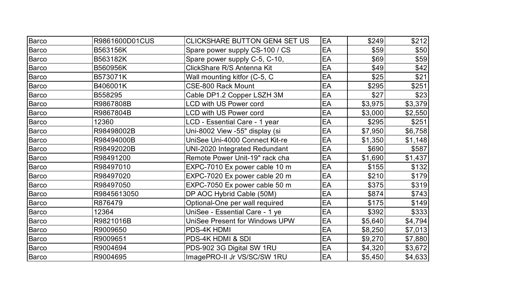| <b>Barco</b> | R9861600D01CUS | <b>CLICKSHARE BUTTON GEN4 SET US</b> | EA | \$249   | \$212   |
|--------------|----------------|--------------------------------------|----|---------|---------|
| <b>Barco</b> | B563156K       | Spare power supply CS-100 / CS       | EA | \$59    | \$50    |
| <b>Barco</b> | B563182K       | Spare power supply C-5, C-10,        | EA | \$69    | \$59    |
| <b>Barco</b> | B560956K       | ClickShare R/S Antenna Kit           | EA | \$49    | \$42    |
| <b>Barco</b> | B573071K       | Wall mounting kitfor (C-5, C         | EA | \$25    | \$21    |
| <b>Barco</b> | B406001K       | <b>CSE-800 Rack Mount</b>            | EA | \$295   | \$251   |
| <b>Barco</b> | B558295        | Cable DP1.2 Copper LSZH 3M           | EA | \$27    | \$23    |
| <b>Barco</b> | R9867808B      | <b>LCD with US Power cord</b>        | EA | \$3,975 | \$3,379 |
| <b>Barco</b> | R9867804B      | <b>LCD with US Power cord</b>        | EA | \$3,000 | \$2,550 |
| <b>Barco</b> | 12360          | LCD - Essential Care - 1 year        | EA | \$295   | \$251   |
| Barco        | R98498002B     | Uni-8002 View -55" display (si       | EA | \$7,950 | \$6,758 |
| <b>Barco</b> | R98494000B     | UniSee Uni-4000 Connect Kit-re       | EA | \$1,350 | \$1,148 |
| Barco        | R98492020B     | UNI-2020 Integrated Redundant        | EA | \$690   | \$587   |
| <b>Barco</b> | R98491200      | Remote Power Unit-19" rack cha       | EA | \$1,690 | \$1,437 |
| <b>Barco</b> | R98497010      | EXPC-7010 Ex power cable 10 m        | EA | \$155   | \$132   |
| <b>Barco</b> | R98497020      | EXPC-7020 Ex power cable 20 m        | EA | \$210   | \$179   |
| Barco        | R98497050      | EXPC-7050 Ex power cable 50 m        | EA | \$375   | \$319   |
| <b>Barco</b> | R9845613050    | DP AOC Hybrid Cable (50M)            | EA | \$874   | \$743   |
| <b>Barco</b> | R876479        | Optional-One per wall required       | EA | \$175   | \$149   |
| Barco        | 12364          | UniSee - Essential Care - 1 ye       | EA | \$392   | \$333   |
| Barco        | R9821016B      | UniSee Present for Windows UPW       | EA | \$5,640 | \$4,794 |
| <b>Barco</b> | R9009650       | PDS-4K HDMI                          | EA | \$8,250 | \$7,013 |
| Barco        | R9009651       | PDS-4K HDMI & SDI                    | EA | \$9,270 | \$7,880 |
| Barco        | R9004694       | PDS-902 3G Digital SW 1RU            | EA | \$4,320 | \$3,672 |
| Barco        | R9004695       | ImagePRO-II Jr VS/SC/SW 1RU          | EA | \$5,450 | \$4,633 |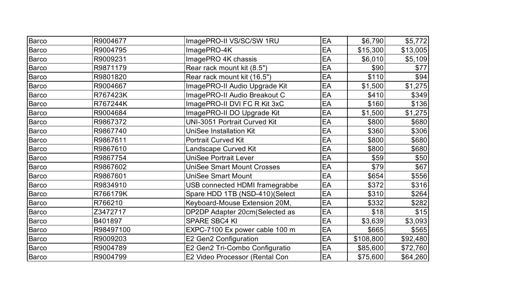| <b>Barco</b> | R9004677  | ImagePRO-II VS/SC/SW 1RU            | EA | \$6,790   | \$5,772  |
|--------------|-----------|-------------------------------------|----|-----------|----------|
| <b>Barco</b> | R9004795  | ImagePRO-4K                         | EA | \$15,300  | \$13,005 |
| Barco        | R9009231  | ImagePRO 4K chassis                 | EA | \$6,010   | \$5,109  |
| <b>Barco</b> | R9871179  | Rear rack mount kit (8.5")          | EA | \$90      | \$77     |
| <b>Barco</b> | R9801820  | Rear rack mount kit (16.5")         | EA | \$110     | \$94]    |
| <b>Barco</b> | R9004667  | ImagePRO-II Audio Upgrade Kit       | EA | \$1,500   | \$1,275  |
| <b>Barco</b> | R767423K  | ImagePRO-II Audio Breakout C        | EA | \$410     | \$349    |
| <b>Barco</b> | R767244K  | ImagePRO-II DVI FC R Kit 3xC        | EA | \$160     | \$136    |
| <b>Barco</b> | R9004684  | ImagePRO-II DO Upgrade Kit          | EA | \$1,500   | \$1,275  |
| <b>Barco</b> | R9867372  | <b>UNI-3051 Portrait Curved Kit</b> | EA | \$800     | \$680    |
| <b>Barco</b> | R9867740  | <b>UniSee Installation Kit</b>      | EA | \$360     | \$306    |
| <b>Barco</b> | R9867611  | <b>Portrait Curved Kit</b>          | EA | \$800     | \$680    |
| <b>Barco</b> | R9867610  | Landscape Curved Kit                | EA | \$800     | \$680    |
| Barco        | R9867754  | <b>UniSee Portrait Lever</b>        | EA | \$59      | \$50     |
| <b>Barco</b> | R9867602  | <b>UniSee Smart Mount Crosses</b>   | EA | \$79      | \$67     |
| <b>Barco</b> | R9867601  | <b>UniSee Smart Mount</b>           | EA | \$654     | \$556    |
| <b>Barco</b> | R9834910  | USB connected HDMI framegrabbe      | EA | \$372     | \$316    |
| <b>Barco</b> | R766179K  | Spare HDD 1TB (NSD-410)(Select      | EA | \$310     | \$264    |
| <b>Barco</b> | R766210   | Keyboard-Mouse Extension 20M,       | EA | \$332     | \$282    |
| <b>Barco</b> | Z3472717  | DP2DP Adapter 20cm(Selected as      | EA | \$18      | \$15     |
| <b>Barco</b> | B401897   | <b>SPARE SBC4 KI</b>                | EA | \$3,639   | \$3,093  |
| Barco        | R98497100 | EXPC-7100 Ex power cable 100 m      | EA | \$665     | \$565    |
| Barco        | R9009203  | E2 Gen2 Configuration               | EA | \$108,800 | \$92,480 |
| Barco        | R9004789  | E2 Gen2 Tri-Combo Configuratio      | EA | \$85,600  | \$72,760 |
| Barco        | R9004799  | E2 Video Processor (Rental Con      | EA | \$75,600  | \$64,260 |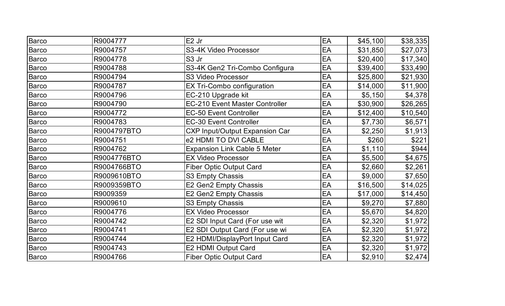| Barco        | R9004777    | E <sub>2</sub> Jr                     | EA | \$45,100 | \$38,335 |
|--------------|-------------|---------------------------------------|----|----------|----------|
| <b>Barco</b> | R9004757    | S3-4K Video Processor                 | EA | \$31,850 | \$27,073 |
| <b>Barco</b> | R9004778    | S <sub>3</sub> Jr                     | EA | \$20,400 | \$17,340 |
| <b>Barco</b> | R9004788    | S3-4K Gen2 Tri-Combo Configura        | EA | \$39,400 | \$33,490 |
| Barco        | R9004794    | S3 Video Processor                    | EA | \$25,800 | \$21,930 |
| <b>Barco</b> | R9004787    | EX Tri-Combo configuration            | EA | \$14,000 | \$11,900 |
| <b>Barco</b> | R9004796    | EC-210 Upgrade kit                    | EA | \$5,150  | \$4,378  |
| <b>Barco</b> | R9004790    | <b>EC-210 Event Master Controller</b> | EA | \$30,900 | \$26,265 |
| <b>Barco</b> | R9004772    | <b>EC-50 Event Controller</b>         | EA | \$12,400 | \$10,540 |
| <b>Barco</b> | R9004783    | <b>EC-30 Event Controller</b>         | EA | \$7,730  | \$6,571  |
| <b>Barco</b> | R9004797BTO | <b>CXP Input/Output Expansion Car</b> | EA | \$2,250  | \$1,913  |
| Barco        | R9004751    | e2 HDMI TO DVI CABLE                  | EA | \$260    | \$221    |
| <b>Barco</b> | R9004762    | <b>Expansion Link Cable 5 Meter</b>   | EA | \$1,110  | \$944    |
| Barco        | R9004776BTO | <b>EX Video Processor</b>             | EA | \$5,500  | \$4,675  |
| <b>Barco</b> | R9004766BTO | <b>Fiber Optic Output Card</b>        | EA | \$2,660  | \$2,261  |
| <b>Barco</b> | R9009610BTO | S3 Empty Chassis                      | EA | \$9,000  | \$7,650  |
| <b>Barco</b> | R9009359BTO | E2 Gen2 Empty Chassis                 | EA | \$16,500 | \$14,025 |
| <b>Barco</b> | R9009359    | E2 Gen2 Empty Chassis                 | EA | \$17,000 | \$14,450 |
| Barco        | R9009610    | S3 Empty Chassis                      | EA | \$9,270  | \$7,880  |
| <b>Barco</b> | R9004776    | <b>EX Video Processor</b>             | EA | \$5,670  | \$4,820  |
| <b>Barco</b> | R9004742    | E2 SDI Input Card (For use wit        | EA | \$2,320  | \$1,972  |
| <b>Barco</b> | R9004741    | E2 SDI Output Card (For use wi        | EA | \$2,320  | \$1,972  |
| <b>Barco</b> | R9004744    | E2 HDMI/DisplayPort Input Card        | EA | \$2,320  | \$1,972  |
| Barco        | R9004743    | E2 HDMI Output Card                   | EA | \$2,320  | \$1,972  |
| Barco        | R9004766    | <b>Fiber Optic Output Card</b>        | EA | \$2,910  | \$2,474  |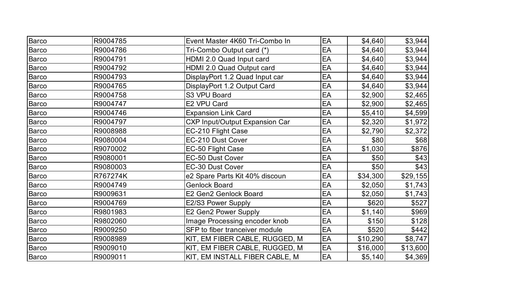| Barco        | R9004785 | Event Master 4K60 Tri-Combo In        | EA | \$4,640  | \$3,944  |
|--------------|----------|---------------------------------------|----|----------|----------|
| <b>Barco</b> | R9004786 | Tri-Combo Output card (*)             | EA | \$4,640  | \$3,944  |
| <b>Barco</b> | R9004791 | HDMI 2.0 Quad Input card              | EA | \$4,640  | \$3,944  |
| Barco        | R9004792 | HDMI 2.0 Quad Output card             | EA | \$4,640  | \$3,944  |
| Barco        | R9004793 | DisplayPort 1.2 Quad Input car        | EA | \$4,640  | \$3,944  |
| Barco        | R9004765 | DisplayPort 1.2 Output Card           | EA | \$4,640  | \$3,944  |
| Barco        | R9004758 | S3 VPU Board                          | EA | \$2,900  | \$2,465  |
| Barco        | R9004747 | E2 VPU Card                           | EA | \$2,900  | \$2,465  |
| Barco        | R9004746 | <b>Expansion Link Card</b>            | EA | \$5,410  | \$4,599  |
| Barco        | R9004797 | <b>CXP Input/Output Expansion Car</b> | EA | \$2,320  | \$1,972  |
| Barco        | R9008988 | EC-210 Flight Case                    | EA | \$2,790  | \$2,372  |
| <b>Barco</b> | R9080004 | EC-210 Dust Cover                     | EA | \$80     | \$68]    |
| Barco        | R9070002 | EC-50 Flight Case                     | EA | \$1,030  | \$876    |
| Barco        | R9080001 | EC-50 Dust Cover                      | EA | \$50     | \$43     |
| Barco        | R9080003 | <b>EC-30 Dust Cover</b>               | EA | \$50     | \$43]    |
| Barco        | R767274K | e2 Spare Parts Kit 40% discoun        | EA | \$34,300 | \$29,155 |
| Barco        | R9004749 | <b>Genlock Board</b>                  | EA | \$2,050  | \$1,743  |
| Barco        | R9009631 | E2 Gen2 Genlock Board                 | EA | \$2,050  | \$1,743  |
| Barco        | R9004769 | E2/S3 Power Supply                    | EA | \$620    | \$527    |
| Barco        | R9801983 | E2 Gen2 Power Supply                  | EA | \$1,140  | \$969    |
| Barco        | R9802060 | Image Processing encoder knob         | EA | \$150    | \$128    |
| Barco        | R9009250 | SFP to fiber tranceiver module        | EA | \$520    | \$442]   |
| Barco        | R9008989 | KIT, EM FIBER CABLE, RUGGED, M        | EA | \$10,290 | \$8,747  |
| Barco        | R9009010 | KIT, EM FIBER CABLE, RUGGED, M        | EA | \$16,000 | \$13,600 |
| Barco        | R9009011 | KIT, EM INSTALL FIBER CABLE, M        | EA | \$5,140  | \$4,369  |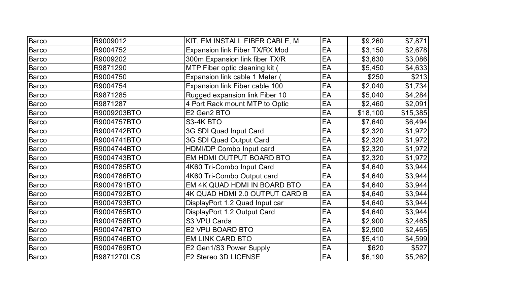| Barco        | R9009012    | KIT, EM INSTALL FIBER CABLE, M | EA | \$9,260  | \$7,871  |
|--------------|-------------|--------------------------------|----|----------|----------|
| <b>Barco</b> | R9004752    | Expansion link Fiber TX/RX Mod | EA | \$3,150  | \$2,678  |
| <b>Barco</b> | R9009202    | 300m Expansion link fiber TX/R | EA | \$3,630  | \$3,086  |
| <b>Barco</b> | R9871290    | MTP Fiber optic cleaning kit ( | EA | \$5,450  | \$4,633  |
| <b>Barco</b> | R9004750    | Expansion link cable 1 Meter   | EA | \$250    | \$213    |
| <b>Barco</b> | R9004754    | Expansion link Fiber cable 100 | EA | \$2,040  | \$1,734  |
| <b>Barco</b> | R9871285    | Rugged expansion link Fiber 10 | EA | \$5,040  | \$4,284  |
| <b>Barco</b> | R9871287    | 4 Port Rack mount MTP to Optic | EA | \$2,460  | \$2,091  |
| <b>Barco</b> | R9009203BTO | E2 Gen2 BTO                    | EA | \$18,100 | \$15,385 |
| <b>Barco</b> | R9004757BTO | S3-4K BTO                      | EA | \$7,640  | \$6,494  |
| <b>Barco</b> | R9004742BTO | 3G SDI Quad Input Card         | EA | \$2,320  | \$1,972  |
| <b>Barco</b> | R9004741BTO | 3G SDI Quad Output Card        | EA | \$2,320  | \$1,972  |
| <b>Barco</b> | R9004744BTO | HDMI/DP Combo Input card       | EA | \$2,320  | \$1,972  |
| Barco        | R9004743BTO | EM HDMI OUTPUT BOARD BTO       | EA | \$2,320  | \$1,972  |
| Barco        | R9004785BTO | 4K60 Tri-Combo Input Card      | EA | \$4,640  | \$3,944  |
| <b>Barco</b> | R9004786BTO | 4K60 Tri-Combo Output card     | EA | \$4,640  | \$3,944  |
| Barco        | R9004791BTO | EM 4K QUAD HDMI IN BOARD BTO   | EA | \$4,640  | \$3,944  |
| Barco        | R9004792BTO | 4K QUAD HDMI 2.0 OUTPUT CARD B | EA | \$4,640  | \$3,944  |
| <b>Barco</b> | R9004793BTO | DisplayPort 1.2 Quad Input car | EA | \$4,640  | \$3,944  |
| Barco        | R9004765BTO | DisplayPort 1.2 Output Card    | EA | \$4,640  | \$3,944  |
| Barco        | R9004758BTO | S3 VPU Cards                   | EA | \$2,900  | \$2,465  |
| Barco        | R9004747BTO | E2 VPU BOARD BTO               | EA | \$2,900  | \$2,465  |
| Barco        | R9004746BTO | <b>EM LINK CARD BTO</b>        | EA | \$5,410  | \$4,599  |
| Barco        | R9004769BTO | E2 Gen1/S3 Power Supply        | EA | \$620    | \$527    |
| Barco        | R9871270LCS | E2 Stereo 3D LICENSE           | EA | \$6,190  | \$5,262  |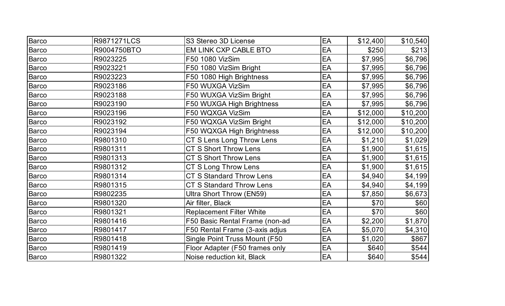| Barco        | R9871271LCS | S3 Stereo 3D License            | EA | \$12,400 | \$10,540 |
|--------------|-------------|---------------------------------|----|----------|----------|
| <b>Barco</b> | R9004750BTO | <b>EM LINK CXP CABLE BTO</b>    | EA | \$250    | \$213    |
| <b>Barco</b> | R9023225    | F50 1080 VizSim                 | EA | \$7,995  | \$6,796  |
| Barco        | R9023221    | F50 1080 VizSim Bright          | EA | \$7,995  | \$6,796  |
| Barco        | R9023223    | F50 1080 High Brightness        | EA | \$7,995  | \$6,796  |
| <b>Barco</b> | R9023186    | F50 WUXGA VizSim                | EA | \$7,995  | \$6,796  |
| Barco        | R9023188    | F50 WUXGA VizSim Bright         | EA | \$7,995  | \$6,796  |
| <b>Barco</b> | R9023190    | F50 WUXGA High Brightness       | EA | \$7,995  | \$6,796  |
| <b>Barco</b> | R9023196    | F50 WQXGA VizSim                | EA | \$12,000 | \$10,200 |
| <b>Barco</b> | R9023192    | F50 WQXGA VizSim Bright         | EA | \$12,000 | \$10,200 |
| <b>Barco</b> | R9023194    | F50 WQXGA High Brightness       | EA | \$12,000 | \$10,200 |
| Barco        | R9801310    | CT S Lens Long Throw Lens       | EA | \$1,210  | \$1,029  |
| Barco        | R9801311    | <b>CT S Short Throw Lens</b>    | EA | \$1,900  | \$1,615  |
| Barco        | R9801313    | <b>CT S Short Throw Lens</b>    | EA | \$1,900  | \$1,615  |
| <b>Barco</b> | R9801312    | CT S Long Throw Lens            | EA | \$1,900  | \$1,615  |
| <b>Barco</b> | R9801314    | <b>CT S Standard Throw Lens</b> | EA | \$4,940  | \$4,199  |
| <b>Barco</b> | R9801315    | <b>CT S Standard Throw Lens</b> | EA | \$4,940  | \$4,199  |
| <b>Barco</b> | R9802235    | Ultra Short Throw (EN59)        | EA | \$7,850  | \$6,673  |
| <b>Barco</b> | R9801320    | Air filter, Black               | EA | \$70     | \$60     |
| <b>Barco</b> | R9801321    | <b>Replacement Filter White</b> | EA | \$70     | \$60     |
| <b>Barco</b> | R9801416    | F50 Basic Rental Frame (non-ad  | EA | \$2,200  | \$1,870  |
| <b>Barco</b> | R9801417    | F50 Rental Frame (3-axis adjus  | EA | \$5,070  | \$4,310  |
| Barco        | R9801418    | Single Point Truss Mount (F50   | EA | \$1,020  | \$867    |
| Barco        | R9801419    | Floor Adapter (F50 frames only  | EA | \$640    | \$544    |
| Barco        | R9801322    | Noise reduction kit, Black      | EA | \$640    | \$544    |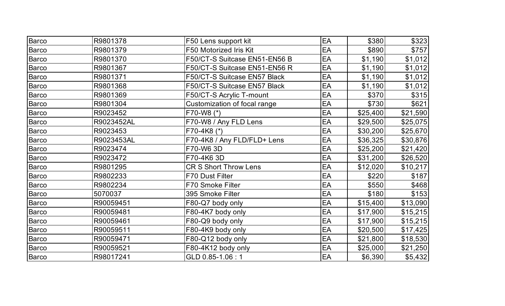| <b>Barco</b> | R9801378   | F50 Lens support kit                | EA | \$380    | \$323    |
|--------------|------------|-------------------------------------|----|----------|----------|
| <b>Barco</b> | R9801379   | F50 Motorized Iris Kit              | EA | \$890    | \$757    |
| <b>Barco</b> | R9801370   | F50/CT-S Suitcase EN51-EN56 B       | EA | \$1,190  | \$1,012  |
| <b>Barco</b> | R9801367   | F50/CT-S Suitcase EN51-EN56 R       | EA | \$1,190  | \$1,012  |
| <b>Barco</b> | R9801371   | <b>F50/CT-S Suitcase EN57 Black</b> | EA | \$1,190  | \$1,012  |
| <b>Barco</b> | R9801368   | F50/CT-S Suitcase EN57 Black        | EA | \$1,190  | \$1,012  |
| <b>Barco</b> | R9801369   | F50/CT-S Acrylic T-mount            | EA | \$370    | \$315    |
| <b>Barco</b> | R9801304   | Customization of focal range        | EA | \$730    | \$621    |
| <b>Barco</b> | R9023452   | F70-W8 (*)                          | EA | \$25,400 | \$21,590 |
| <b>Barco</b> | R9023452AL | F70-W8 / Any FLD Lens               | EA | \$29,500 | \$25,075 |
| <b>Barco</b> | R9023453   | F70-4K8 (*)                         | EA | \$30,200 | \$25,670 |
| <b>Barco</b> | R9023453AL | F70-4K8 / Any FLD/FLD+ Lens         | EA | \$36,325 | \$30,876 |
| <b>Barco</b> | R9023474   | F70-W6 3D                           | EA | \$25,200 | \$21,420 |
| <b>Barco</b> | R9023472   | F70-4K6 3D                          | EA | \$31,200 | \$26,520 |
| <b>Barco</b> | R9801295   | <b>CR S Short Throw Lens</b>        | EA | \$12,020 | \$10,217 |
| <b>Barco</b> | R9802233   | <b>F70 Dust Filter</b>              | EA | \$220    | \$187    |
| <b>Barco</b> | R9802234   | F70 Smoke Filter                    | EA | \$550    | \$468    |
| Barco        | 5070037    | 395 Smoke Filter                    | EA | \$180    | \$153    |
| Barco        | R90059451  | F80-Q7 body only                    | EA | \$15,400 | \$13,090 |
| Barco        | R90059481  | F80-4K7 body only                   | EA | \$17,900 | \$15,215 |
| Barco        | R90059461  | F80-Q9 body only                    | EA | \$17,900 | \$15,215 |
| <b>Barco</b> | R90059511  | F80-4K9 body only                   | EA | \$20,500 | \$17,425 |
| <b>Barco</b> | R90059471  | F80-Q12 body only                   | EA | \$21,800 | \$18,530 |
| <b>Barco</b> | R90059521  | F80-4K12 body only                  | EA | \$25,000 | \$21,250 |
| <b>Barco</b> | R98017241  | GLD 0.85-1.06:1                     | EA | \$6,390  | \$5,432  |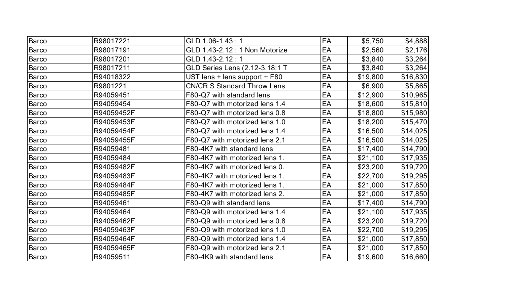| Barco        | R98017221  | GLD 1.06-1.43:1                    | EA | \$5,750  | \$4,888  |
|--------------|------------|------------------------------------|----|----------|----------|
| Barco        | R98017191  | GLD 1.43-2.12 : 1 Non Motorize     | EA | \$2,560  | \$2,176  |
| <b>Barco</b> | R98017201  | GLD 1.43-2.12:1                    | EA | \$3,840  | \$3,264  |
| <b>Barco</b> | R98017211  | GLD Series Lens (2.12-3.18:1 T     | EA | \$3,840  | \$3,264  |
| Barco        | R94018322  | UST lens + lens support + F80      | EA | \$19,800 | \$16,830 |
| Barco        | R9801221   | <b>CN/CR S Standard Throw Lens</b> | EA | \$6,900  | \$5,865  |
| <b>Barco</b> | R94059451  | F80-Q7 with standard lens          | EA | \$12,900 | \$10,965 |
| <b>Barco</b> | R94059454  | F80-Q7 with motorized lens 1.4     | EA | \$18,600 | \$15,810 |
| <b>Barco</b> | R94059452F | F80-Q7 with motorized lens 0.8     | EA | \$18,800 | \$15,980 |
| <b>Barco</b> | R94059453F | F80-Q7 with motorized lens 1.0     | EA | \$18,200 | \$15,470 |
| <b>Barco</b> | R94059454F | F80-Q7 with motorized lens 1.4     | EA | \$16,500 | \$14,025 |
| <b>Barco</b> | R94059455F | F80-Q7 with motorized lens 2.1     | EA | \$16,500 | \$14,025 |
| <b>Barco</b> | R94059481  | F80-4K7 with standard lens         | EA | \$17,400 | \$14,790 |
| <b>Barco</b> | R94059484  | F80-4K7 with motorized lens 1.     | EA | \$21,100 | \$17,935 |
| <b>Barco</b> | R94059482F | F80-4K7 with motorized lens 0.     | EA | \$23,200 | \$19,720 |
| <b>Barco</b> | R94059483F | F80-4K7 with motorized lens 1.     | EA | \$22,700 | \$19,295 |
| Barco        | R94059484F | F80-4K7 with motorized lens 1.     | EA | \$21,000 | \$17,850 |
| <b>Barco</b> | R94059485F | F80-4K7 with motorized lens 2.     | EA | \$21,000 | \$17,850 |
| Barco        | R94059461  | F80-Q9 with standard lens          | EA | \$17,400 | \$14,790 |
| Barco        | R94059464  | F80-Q9 with motorized lens 1.4     | EA | \$21,100 | \$17,935 |
| <b>Barco</b> | R94059462F | F80-Q9 with motorized lens 0.8     | EA | \$23,200 | \$19,720 |
| <b>Barco</b> | R94059463F | F80-Q9 with motorized lens 1.0     | EA | \$22,700 | \$19,295 |
| <b>Barco</b> | R94059464F | F80-Q9 with motorized lens 1.4     | EA | \$21,000 | \$17,850 |
| <b>Barco</b> | R94059465F | F80-Q9 with motorized lens 2.1     | EA | \$21,000 | \$17,850 |
| Barco        | R94059511  | F80-4K9 with standard lens         | EA | \$19,600 | \$16,660 |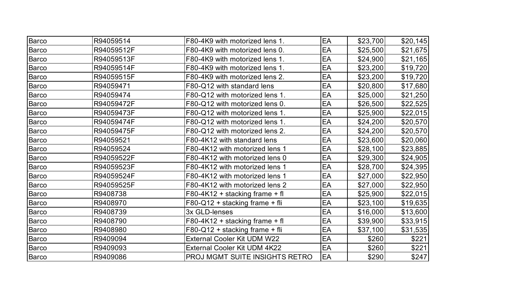| <b>Barco</b> | R94059514  | F80-4K9 with motorized lens 1.      | EA | \$23,700 | \$20,145 |
|--------------|------------|-------------------------------------|----|----------|----------|
| Barco        | R94059512F | F80-4K9 with motorized lens 0.      | EA | \$25,500 | \$21,675 |
| <b>Barco</b> | R94059513F | F80-4K9 with motorized lens 1.      | EA | \$24,900 | \$21,165 |
| Barco        | R94059514F | F80-4K9 with motorized lens 1.      | EA | \$23,200 | \$19,720 |
| Barco        | R94059515F | F80-4K9 with motorized lens 2.      | EA | \$23,200 | \$19,720 |
| <b>Barco</b> | R94059471  | F80-Q12 with standard lens          | EA | \$20,800 | \$17,680 |
| Barco        | R94059474  | F80-Q12 with motorized lens 1.      | EA | \$25,000 | \$21,250 |
| Barco        | R94059472F | F80-Q12 with motorized lens 0.      | EA | \$26,500 | \$22,525 |
| <b>Barco</b> | R94059473F | F80-Q12 with motorized lens 1.      | EA | \$25,900 | \$22,015 |
| Barco        | R94059474F | F80-Q12 with motorized lens 1.      | EA | \$24,200 | \$20,570 |
| <b>Barco</b> | R94059475F | F80-Q12 with motorized lens 2.      | EA | \$24,200 | \$20,570 |
| <b>Barco</b> | R94059521  | F80-4K12 with standard lens         | EA | \$23,600 | \$20,060 |
| <b>Barco</b> | R94059524  | F80-4K12 with motorized lens 1      | EA | \$28,100 | \$23,885 |
| <b>Barco</b> | R94059522F | F80-4K12 with motorized lens 0      | EA | \$29,300 | \$24,905 |
| <b>Barco</b> | R94059523F | F80-4K12 with motorized lens 1      | EA | \$28,700 | \$24,395 |
| <b>Barco</b> | R94059524F | F80-4K12 with motorized lens 1      | EA | \$27,000 | \$22,950 |
| <b>Barco</b> | R94059525F | F80-4K12 with motorized lens 2      | EA | \$27,000 | \$22,950 |
| <b>Barco</b> | R9408738   | F80-4K12 + stacking frame + fl      | EA | \$25,900 | \$22,015 |
| <b>Barco</b> | R9408970   | F80-Q12 + stacking frame + fli      | EA | \$23,100 | \$19,635 |
| <b>Barco</b> | R9408739   | 3x GLD-lenses                       | EA | \$16,000 | \$13,600 |
| <b>Barco</b> | R9408790   | F80-4K12 + stacking frame + fl      | EA | \$39,900 | \$33,915 |
| <b>Barco</b> | R9408980   | F80-Q12 + stacking frame + fli      | EA | \$37,100 | \$31,535 |
| <b>Barco</b> | R9409094   | <b>External Cooler Kit UDM W22</b>  | EA | \$260    | \$221    |
| Barco        | R9409093   | <b>External Cooler Kit UDM 4K22</b> | EA | \$260    | \$221    |
| Barco        | R9409086   | PROJ MGMT SUITE INSIGHTS RETRO      | EA | \$290    | \$247    |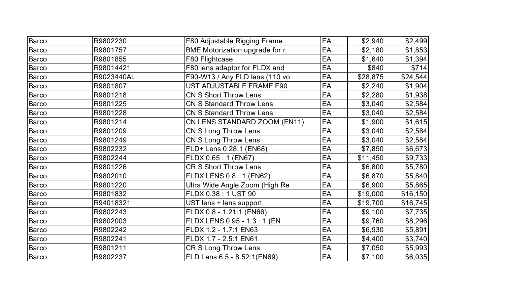| <b>Barco</b> | R9802230   | F80 Adjustable Rigging Frame    | EA | \$2,940  | \$2,499  |
|--------------|------------|---------------------------------|----|----------|----------|
| <b>Barco</b> | R9801757   | BME Motorization upgrade for r  | EA | \$2,180  | \$1,853  |
| <b>Barco</b> | R9801855   | F80 Flightcase                  | EA | \$1,640  | \$1,394  |
| <b>Barco</b> | R98014421  | F80 lens adaptor for FLDX and   | EA | \$840    | \$714]   |
| <b>Barco</b> | R9023440AL | F90-W13 / Any FLD lens (110 vo  | EA | \$28,875 | \$24,544 |
| <b>Barco</b> | R9801807   | UST ADJUSTABLE FRAME F90        | EA | \$2,240  | \$1,904  |
| <b>Barco</b> | R9801218   | <b>CN S Short Throw Lens</b>    | EA | \$2,280  | \$1,938  |
| <b>Barco</b> | R9801225   | <b>CN S Standard Throw Lens</b> | EA | \$3,040  | \$2,584  |
| <b>Barco</b> | R9801228   | <b>CN S Standard Throw Lens</b> | EA | \$3,040  | \$2,584  |
| <b>Barco</b> | R9801214   | CN LENS STANDARD ZOOM (EN11)    | EA | \$1,900  | \$1,615  |
| <b>Barco</b> | R9801209   | CN S Long Throw Lens            | EA | \$3,040  | \$2,584  |
| <b>Barco</b> | R9801249   | CN S Long Throw Lens            | EA | \$3,040  | \$2,584  |
| <b>Barco</b> | R9802232   | FLD+ Lens 0.28:1 (EN68)         | EA | \$7,850  | \$6,673  |
| <b>Barco</b> | R9802244   | FLDX 0.65: 1 (EN67)             | EA | \$11,450 | \$9,733  |
| Barco        | R9801226   | <b>CR S Short Throw Lens</b>    | EA | \$6,800  | \$5,780  |
| <b>Barco</b> | R9802010   | <b>FLDX LENS 0.8 : 1 (EN62)</b> | EA | \$6,870  | \$5,840  |
| <b>Barco</b> | R9801220   | Ultra Wide Angle Zoom (High Re  | EA | \$6,900  | \$5,865  |
| Barco        | R9801832   | FLDX 0.38 : 1 UST 90            | EA | \$19,000 | \$16,150 |
| Barco        | R94018321  | UST lens + lens support         | EA | \$19,700 | \$16,745 |
| <b>Barco</b> | R9802243   | FLDX 0.8 - 1.21:1 (EN66)        | EA | \$9,100  | \$7,735  |
| Barco        | R9802003   | FLDX LENS 0.95 - 1.3 : 1 (EN    | EA | \$9,760  | \$8,296  |
| Barco        | R9802242   | FLDX 1.2 - 1.7:1 EN63           | EA | \$6,930  | \$5,891  |
| <b>Barco</b> | R9802241   | FLDX 1.7 - 2.5:1 EN61           | EA | \$4,400  | \$3,740  |
| <b>Barco</b> | R9801211   | <b>CR S Long Throw Lens</b>     | EA | \$7,050  | \$5,993  |
| <b>Barco</b> | R9802237   | FLD Lens 6.5 - 8.52:1(EN69)     | EA | \$7,100  | \$6,035  |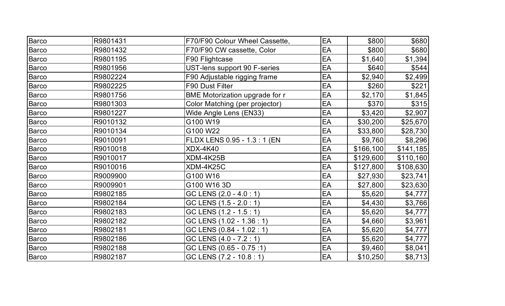| Barco        | R9801431 | F70/F90 Colour Wheel Cassette,        | EA | \$800     | \$680     |
|--------------|----------|---------------------------------------|----|-----------|-----------|
| <b>Barco</b> | R9801432 | F70/F90 CW cassette, Color            | EA | \$800     | \$680     |
| Barco        | R9801195 | F90 Flightcase                        | EA | \$1,640   | \$1,394   |
| Barco        | R9801956 | UST-lens support 90 F-series          | EA | \$640     | \$544]    |
| <b>Barco</b> | R9802224 | F90 Adjustable rigging frame          | EA | \$2,940   | \$2,499   |
| <b>Barco</b> | R9802225 | F90 Dust Filter                       | EA | \$260     | \$221     |
| <b>Barco</b> | R9801756 | <b>BME Motorization upgrade for r</b> | EA | \$2,170   | \$1,845   |
| <b>Barco</b> | R9801303 | Color Matching (per projector)        | EA | \$370     | \$315     |
| <b>Barco</b> | R9801227 | Wide Angle Lens (EN33)                | EA | \$3,420   | \$2,907   |
| <b>Barco</b> | R9010132 | G100 W19                              | EA | \$30,200  | \$25,670  |
| <b>Barco</b> | R9010134 | G100 W22                              | EA | \$33,800  | \$28,730  |
| <b>Barco</b> | R9010091 | FLDX LENS 0.95 - 1.3 : 1 (EN          | EA | \$9,760   | \$8,296   |
| <b>Barco</b> | R9010018 | <b>XDX-4K40</b>                       | EA | \$166,100 | \$141,185 |
| <b>Barco</b> | R9010017 | XDM-4K25B                             | EA | \$129,600 | \$110,160 |
| <b>Barco</b> | R9010016 | XDM-4K25C                             | EA | \$127,800 | \$108,630 |
| <b>Barco</b> | R9009900 | G100 W16                              | EA | \$27,930  | \$23,741  |
| <b>Barco</b> | R9009901 | G100 W16 3D                           | EA | \$27,800  | \$23,630  |
| Barco        | R9802185 | GC LENS (2.0 - 4.0 : 1)               | EA | \$5,620   | \$4,777   |
| <b>Barco</b> | R9802184 | GC LENS (1.5 - 2.0 : 1)               | EA | \$4,430   | \$3,766   |
| <b>Barco</b> | R9802183 | GC LENS (1.2 - 1.5 : 1)               | EA | \$5,620   | \$4,777   |
| Barco        | R9802182 | GC LENS (1.02 - 1.36 : 1)             | EA | \$4,660   | \$3,961   |
| <b>Barco</b> | R9802181 | GC LENS (0.84 - 1.02 : 1)             | EA | \$5,620   | \$4,777   |
| <b>Barco</b> | R9802186 | GC LENS (4.0 - 7.2 : 1)               | EA | \$5,620   | \$4,777   |
| Barco        | R9802188 | GC LENS (0.65 - 0.75 :1)              | EA | \$9,460   | \$8,041   |
| <b>Barco</b> | R9802187 | GC LENS (7.2 - 10.8 : 1)              | EA | \$10,250  | \$8,713   |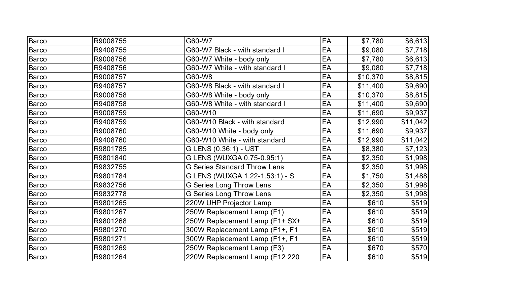| <b>Barco</b> | R9008755 | G60-W7                              | EA | \$7,780  | \$6,613  |
|--------------|----------|-------------------------------------|----|----------|----------|
| <b>Barco</b> | R9408755 | G60-W7 Black - with standard I      | EA | \$9,080  | \$7,718  |
| Barco        | R9008756 | G60-W7 White - body only            | EA | \$7,780  | \$6,613  |
| Barco        | R9408756 | G60-W7 White - with standard I      | EA | \$9,080  | \$7,718  |
| <b>Barco</b> | R9008757 | G60-W8                              | EA | \$10,370 | \$8,815  |
| <b>Barco</b> | R9408757 | G60-W8 Black - with standard I      | EA | \$11,400 | \$9,690  |
| Barco        | R9008758 | G60-W8 White - body only            | EA | \$10,370 | \$8,815  |
| <b>Barco</b> | R9408758 | G60-W8 White - with standard I      | EA | \$11,400 | \$9,690  |
| <b>Barco</b> | R9008759 | G60-W10                             | EA | \$11,690 | \$9,937  |
| <b>Barco</b> | R9408759 | G60-W10 Black - with standard       | EA | \$12,990 | \$11,042 |
| Barco        | R9008760 | G60-W10 White - body only           | EA | \$11,690 | \$9,937  |
| <b>Barco</b> | R9408760 | G60-W10 White - with standard       | EA | \$12,990 | \$11,042 |
| <b>Barco</b> | R9801785 | G LENS (0.36:1) - UST               | EA | \$8,380  | \$7,123  |
| <b>Barco</b> | R9801840 | G LENS (WUXGA 0.75-0.95:1)          | EA | \$2,350  | \$1,998  |
| <b>Barco</b> | R9832755 | <b>G Series Standard Throw Lens</b> | EA | \$2,350  | \$1,998  |
| <b>Barco</b> | R9801784 | G LENS (WUXGA 1.22-1.53:1) - S      | EA | \$1,750  | \$1,488  |
| Barco        | R9832756 | <b>G Series Long Throw Lens</b>     | EA | \$2,350  | \$1,998  |
| <b>Barco</b> | R9832778 | <b>G Series Long Throw Lens</b>     | EA | \$2,350  | \$1,998  |
| <b>Barco</b> | R9801265 | 220W UHP Projector Lamp             | EA | \$610    | \$519    |
| <b>Barco</b> | R9801267 | 250W Replacement Lamp (F1)          | EA | \$610    | \$519    |
| <b>Barco</b> | R9801268 | 250W Replacement Lamp (F1+ SX+      | EA | \$610    | \$519    |
| Barco        | R9801270 | 300W Replacement Lamp (F1+, F1      | EA | \$610    | \$519    |
| Barco        | R9801271 | 300W Replacement Lamp (F1+, F1      | EA | \$610    | \$519    |
| Barco        | R9801269 | 250W Replacement Lamp (F3)          | EA | \$670    | \$570    |
| Barco        | R9801264 | 220W Replacement Lamp (F12 220      | EA | \$610    | \$519    |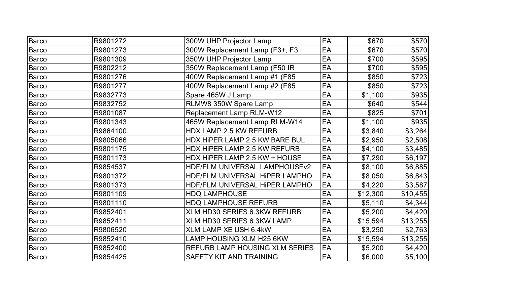| Barco        | R9801272 | 300W UHP Projector Lamp               | EA | \$670    | \$570    |
|--------------|----------|---------------------------------------|----|----------|----------|
| <b>Barco</b> | R9801273 | 300W Replacement Lamp (F3+, F3        | EA | \$670    | \$570    |
| Barco        | R9801309 | 350W UHP Projector Lamp               | EA | \$700    | \$595    |
| <b>Barco</b> | R9802212 | 350W Replacement Lamp (F50 IR         | EA | \$700    | \$595    |
| <b>Barco</b> | R9801276 | 400W Replacement Lamp #1 (F85)        | EA | \$850    | \$723    |
| <b>Barco</b> | R9801277 | 400W Replacement Lamp #2 (F85)        | EA | \$850    | \$723    |
| <b>Barco</b> | R9832773 | Spare 465W J Lamp                     | EA | \$1,100  | \$935    |
| <b>Barco</b> | R9832752 | RLMW8 350W Spare Lamp                 | EA | \$640    | \$544    |
| Barco        | R9801087 | <b>Replacement Lamp RLM-W12</b>       | EA | \$825    | \$701    |
| <b>Barco</b> | R9801343 | 465W Replacement Lamp RLM-W14         | EA | \$1,100  | \$935    |
| Barco        | R9864100 | <b>HDX LAMP 2.5 KW REFURB</b>         | EA | \$3,840  | \$3,264  |
| <b>Barco</b> | R9805066 | HDX HIPER LAMP 2.5 KW BARE BUL        | EA | \$2,950  | \$2,508  |
| <b>Barco</b> | R9801175 | HDX HIPER LAMP 2.5 KW REFURB          | EA | \$4,100  | \$3,485  |
| <b>Barco</b> | R9801173 | HDX HIPER LAMP 2.5 KW + HOUSE         | EA | \$7,290  | \$6,197  |
| <b>Barco</b> | R9854537 | HDF/FLM UNIVERSAL LAMPHOUSEv2         | EA | \$8,100  | \$6,885  |
| Barco        | R9801372 | HDF/FLM UNIVERSAL HIPER LAMPHO        | EA | \$8,050  | \$6,843  |
| <b>Barco</b> | R9801373 | HDF/FLM UNIVERSAL HIPER LAMPHO        | EA | \$4,220  | \$3,587  |
| <b>Barco</b> | R9801109 | <b>HDQ LAMPHOUSE</b>                  | EA | \$12,300 | \$10,455 |
| <b>Barco</b> | R9801110 | <b>HDQ LAMPHOUSE REFURB</b>           | EA | \$5,110  | \$4,344  |
| <b>Barco</b> | R9852401 | XLM HD30 SERIES 6.3KW REFURB          | EA | \$5,200  | \$4,420  |
| Barco        | R9852411 | XLM HD30 SERIES 6.3KW LAMP            | EA | \$15,594 | \$13,255 |
| Barco        | R9806520 | <b>XLM LAMP XE USH 6.4kW</b>          | EA | \$3,250  | \$2,763  |
| <b>Barco</b> | R9852410 | LAMP HOUSING XLM H25 6KW              | EA | \$15,594 | \$13,255 |
| <b>Barco</b> | R9852400 | <b>REFURB LAMP HOUSING XLM SERIES</b> | EA | \$5,200  | \$4,420  |
| Barco        | R9854425 | SAFETY KIT AND TRAINING               | EA | \$6,000  | \$5,100  |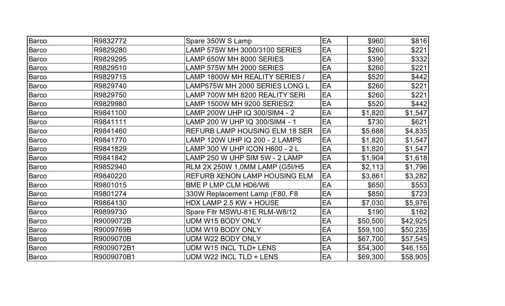| <b>Barco</b> | R9832772   | Spare 350W S Lamp                     | EA | \$960    | \$816    |
|--------------|------------|---------------------------------------|----|----------|----------|
| <b>Barco</b> | R9829280   | LAMP 575W MH 3000/3100 SERIES         | EA | \$260    | \$221    |
| <b>Barco</b> | R9829295   | LAMP 650W MH 8000 SERIES              | EA | \$390    | \$332    |
| <b>Barco</b> | R9829510   | LAMP 575W MH 2000 SERIES              | EA | \$260    | \$221    |
| <b>Barco</b> | R9829715   | LAMP 1800W MH REALITY SERIES /        | EA | \$520    | \$442]   |
| Barco        | R9829740   | LAMP575W MH 2000 SERIES LONG L        | EA | \$260    | \$221    |
| Barco        | R9829750   | LAMP 700W MH 8200 REALITY SERI        | EA | \$260    | \$221    |
| Barco        | R9829980   | LAMP 1500W MH 9200 SERIES/2           | EA | \$520    | \$442]   |
| Barco        | R9841100   | LAMP 200W UHP IQ 300/SIM4 - 2         | EA | \$1,820  | \$1,547  |
| <b>Barco</b> | R9841111   | LAMP 200 W UHP IQ 300/SIM4 - 1        | EA | \$730    | \$621    |
| <b>Barco</b> | R9841460   | <b>REFURB LAMP HOUSING ELM 18 SER</b> | EA | \$5,688  | \$4,835  |
| <b>Barco</b> | R9841770   | LAMP 120W UHP IQ 200 - 2 LAMPS        | EA | \$1,820  | \$1,547  |
| <b>Barco</b> | R9841829   | LAMP 300 W UHP ICON H600 - 2 L        | EA | \$1,820  | \$1,547  |
| <b>Barco</b> | R9841842   | LAMP 250 W UHP SIM 5W - 2 LAMP        | EA | \$1,904  | \$1,618  |
| <b>Barco</b> | R9852940   | RLM 2X 250W 1,0MM LAMP (G5I/H5        | EA | \$2,113  | \$1,796  |
| <b>Barco</b> | R9840220   | REFURB XENON LAMP HOUSING ELM         | EA | \$3,861  | \$3,282  |
| <b>Barco</b> | R9801015   | BME P LMP CLM HD6/W6                  | EA | \$650    | \$553    |
| <b>Barco</b> | R9801274   | 330W Replacement Lamp (F80, F8        | EA | \$850    | \$723    |
| <b>Barco</b> | R9864130   | HDX LAMP 2.5 KW + HOUSE               | EA | \$7,030  | \$5,976  |
| Barco        | R9899730   | Spare Fltr MSWU-81E RLM-W8/12         | EA | \$190    | \$162    |
| <b>Barco</b> | R9009072B  | UDM W15 BODY ONLY                     | EA | \$50,500 | \$42,925 |
| Barco        | R9009769B  | <b>UDM W19 BODY ONLY</b>              | EA | \$59,100 | \$50,235 |
| Barco        | R9009070B  | <b>UDM W22 BODY ONLY</b>              | EA | \$67,700 | \$57,545 |
| <b>Barco</b> | R9009072B1 | <b>UDM W15 INCL TLD+ LENS</b>         | EA | \$54,300 | \$46,155 |
| Barco        | R9009070B1 | UDM W22 INCL TLD + LENS               | EA | \$69,300 | \$58,905 |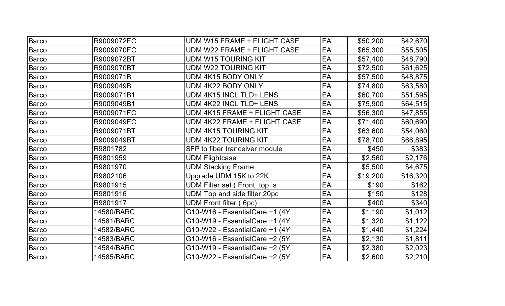| Barco        | R9009072FC | UDM W15 FRAME + FLIGHT CASE     | EA | \$50,200 | \$42,670 |
|--------------|------------|---------------------------------|----|----------|----------|
| <b>Barco</b> | R9009070FC | UDM W22 FRAME + FLIGHT CASE     | EA | \$65,300 | \$55,505 |
| Barco        | R9009072BT | <b>UDM W15 TOURING KIT</b>      | EA | \$57,400 | \$48,790 |
| <b>Barco</b> | R9009070BT | UDM W22 TOURING KIT             | EA | \$72,500 | \$61,625 |
| <b>Barco</b> | R9009071B  | UDM 4K15 BODY ONLY              | EA | \$57,500 | \$48,875 |
| Barco        | R9009049B  | UDM 4K22 BODY ONLY              | EA | \$74,800 | \$63,580 |
| Barco        | R9009071B1 | UDM 4K15 INCL TLD+ LENS         | EA | \$60,700 | \$51,595 |
| Barco        | R9009049B1 | UDM 4K22 INCL TLD+ LENS         | EA | \$75,900 | \$64,515 |
| Barco        | R9009071FC | UDM 4K15 FRAME + FLIGHT CASE    | EA | \$56,300 | \$47,855 |
| <b>Barco</b> | R9009049FC | UDM 4K22 FRAME + FLIGHT CASE    | EA | \$71,400 | \$60,690 |
| <b>Barco</b> | R9009071BT | <b>UDM 4K15 TOURING KIT</b>     | EA | \$63,600 | \$54,060 |
| Barco        | R9009049BT | UDM 4K22 TOURING KIT            | EA | \$78,700 | \$66,895 |
| <b>Barco</b> | R9801782   | SFP to fiber tranceiver module  | EA | \$450    | \$383    |
| Barco        | R9801959   | <b>UDM Flightcase</b>           | EA | \$2,560  | \$2,176  |
| Barco        | R9801970   | <b>UDM Stacking Frame</b>       | EA | \$5,500  | \$4,675  |
| Barco        | R9802106   | Upgrade UDM 15K to 22K          | EA | \$19,200 | \$16,320 |
| Barco        | R9801915   | UDM Filter set (Front, top, s)  | EA | \$190    | \$162    |
| Barco        | R9801916   | UDM Top and side filter 20pc    | EA | \$150    | \$128    |
| Barco        | R9801917   | UDM Front filter (6pc)          | EA | \$400    | \$340    |
| <b>Barco</b> | 14580/BARC | G10-W16 - EssentialCare +1 (4Y  | EA | \$1,190  | \$1,012  |
| Barco        | 14581/BARC | G10-W19 - EssentialCare +1 (4Y) | EA | \$1,320  | \$1,122  |
| Barco        | 14582/BARC | G10-W22 - EssentialCare +1 (4Y  | EA | \$1,440  | \$1,224  |
| <b>Barco</b> | 14583/BARC | G10-W16 - EssentialCare +2 (5Y) | EA | \$2,130  | \$1,811  |
| Barco        | 14584/BARC | G10-W19 - EssentialCare +2 (5Y  | EA | \$2,380  | \$2,023  |
| Barco        | 14585/BARC | G10-W22 - EssentialCare +2 (5Y) | EA | \$2,600  | \$2,210  |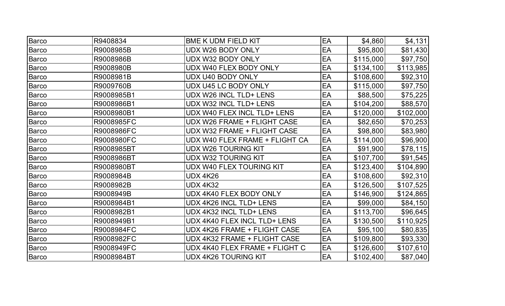| <b>Barco</b> | R9408834   | <b>BME K UDM FIELD KIT</b>     | EA | \$4,860   | \$4,131   |
|--------------|------------|--------------------------------|----|-----------|-----------|
| <b>Barco</b> | R9008985B  | UDX W26 BODY ONLY              | EA | \$95,800  | \$81,430  |
| Barco        | R9008986B  | UDX W32 BODY ONLY              | EA | \$115,000 | \$97,750  |
| <b>Barco</b> | R9008980B  | UDX W40 FLEX BODY ONLY         | EA | \$134,100 | \$113,985 |
| <b>Barco</b> | R9008981B  | <b>UDX U40 BODY ONLY</b>       | EA | \$108,600 | \$92,310  |
| <b>Barco</b> | R9009760B  | UDX U45 LC BODY ONLY           | EA | \$115,000 | \$97,750  |
| <b>Barco</b> | R9008985B1 | UDX W26 INCL TLD+ LENS         | EA | \$88,500  | \$75,225  |
| <b>Barco</b> | R9008986B1 | UDX W32 INCL TLD+ LENS         | EA | \$104,200 | \$88,570  |
| <b>Barco</b> | R9008980B1 | UDX W40 FLEX INCL TLD+ LENS    | EA | \$120,000 | \$102,000 |
| <b>Barco</b> | R9008985FC | UDX W26 FRAME + FLIGHT CASE    | EA | \$82,650  | \$70,253  |
| <b>Barco</b> | R9008986FC | UDX W32 FRAME + FLIGHT CASE    | EA | \$98,800  | \$83,980  |
| <b>Barco</b> | R9008980FC | UDX W40 FLEX FRAME + FLIGHT CA | EA | \$114,000 | \$96,900  |
| Barco        | R9008985BT | <b>UDX W26 TOURING KIT</b>     | EA | \$91,900  | \$78,115  |
| <b>Barco</b> | R9008986BT | UDX W32 TOURING KIT            | EA | \$107,700 | \$91,545  |
| <b>Barco</b> | R9008980BT | UDX W40 FLEX TOURING KIT       | EA | \$123,400 | \$104,890 |
| Barco        | R9008984B  | <b>UDX 4K26</b>                | EA | \$108,600 | \$92,310  |
| Barco        | R9008982B  | <b>UDX 4K32</b>                | EA | \$126,500 | \$107,525 |
| <b>Barco</b> | R9008949B  | UDX 4K40 FLEX BODY ONLY        | EA | \$146,900 | \$124,865 |
| <b>Barco</b> | R9008984B1 | UDX 4K26 INCL TLD+ LENS        | EA | \$99,000  | \$84,150  |
| <b>Barco</b> | R9008982B1 | UDX 4K32 INCL TLD+ LENS        | EA | \$113,700 | \$96,645  |
| <b>Barco</b> | R9008949B1 | UDX 4K40 FLEX INCL TLD+ LENS   | EA | \$130,500 | \$110,925 |
| <b>Barco</b> | R9008984FC | UDX 4K26 FRAME + FLIGHT CASE   | EA | \$95,100  | \$80,835  |
| Barco        | R9008982FC | UDX 4K32 FRAME + FLIGHT CASE   | EA | \$109,800 | \$93,330  |
| Barco        | R9008949FC | UDX 4K40 FLEX FRAME + FLIGHT C | EA | \$126,600 | \$107,610 |
| <b>Barco</b> | R9008984BT | <b>UDX 4K26 TOURING KIT</b>    | EA | \$102,400 | \$87,040  |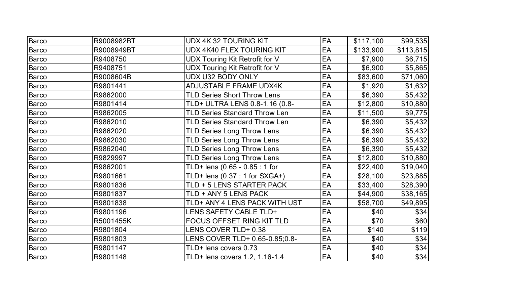| Barco        | R9008982BT | UDX 4K 32 TOURING KIT                | EA | \$117,100 | \$99,535  |
|--------------|------------|--------------------------------------|----|-----------|-----------|
| <b>Barco</b> | R9008949BT | <b>UDX 4K40 FLEX TOURING KIT</b>     | EA | \$133,900 | \$113,815 |
| Barco        | R9408750   | UDX Touring Kit Retrofit for V       | EA | \$7,900   | \$6,715   |
| <b>Barco</b> | R9408751   | UDX Touring Kit Retrofit for V       | EA | \$6,900   | \$5,865   |
| <b>Barco</b> | R9008604B  | UDX U32 BODY ONLY                    | EA | \$83,600  | \$71,060  |
| <b>Barco</b> | R9801441   | ADJUSTABLE FRAME UDX4K               | EA | \$1,920   | \$1,632   |
| Barco        | R9862000   | <b>TLD Series Short Throw Lens</b>   | EA | \$6,390   | \$5,432   |
| Barco        | R9801414   | TLD+ ULTRA LENS 0.8-1.16 (0.8-       | EA | \$12,800  | \$10,880  |
| Barco        | R9862005   | <b>TLD Series Standard Throw Len</b> | EA | \$11,500  | \$9,775   |
| <b>Barco</b> | R9862010   | <b>TLD Series Standard Throw Len</b> | EA | \$6,390   | \$5,432   |
| Barco        | R9862020   | <b>TLD Series Long Throw Lens</b>    | EA | \$6,390   | \$5,432   |
| <b>Barco</b> | R9862030   | <b>TLD Series Long Throw Lens</b>    | EA | \$6,390   | \$5,432   |
| <b>Barco</b> | R9862040   | <b>TLD Series Long Throw Lens</b>    | EA | \$6,390   | \$5,432   |
| Barco        | R9829997   | <b>TLD Series Long Throw Lens</b>    | EA | \$12,800  | \$10,880  |
| Barco        | R9862001   | TLD+ lens (0.65 - 0.85 : 1 for       | EA | \$22,400  | \$19,040  |
| Barco        | R9801661   | TLD+ lens (0.37 : 1 for SXGA+)       | EA | \$28,100  | \$23,885  |
| <b>Barco</b> | R9801836   | TLD + 5 LENS STARTER PACK            | EA | \$33,400  | \$28,390  |
| Barco        | R9801837   | TLD + ANY 5 LENS PACK                | EA | \$44,900  | \$38,165  |
| Barco        | R9801838   | TLD+ ANY 4 LENS PACK WITH UST        | EA | \$58,700  | \$49,895  |
| <b>Barco</b> | R9801196   | <b>LENS SAFETY CABLE TLD+</b>        | EA | \$40      | \$34]     |
| <b>Barco</b> | R5001455K  | FOCUS OFFSET RING KIT TLD            | EA | \$70      | \$60      |
| Barco        | R9801804   | LENS COVER TLD+ 0.38                 | EA | \$140     | \$119     |
| Barco        | R9801803   | LENS COVER TLD+ 0.65-0.85;0.8-       | EA | \$40      | \$34]     |
| <b>Barco</b> | R9801147   | TLD+ lens covers 0.73                | EA | \$40      | \$34]     |
| Barco        | R9801148   | TLD+ lens covers 1.2, 1.16-1.4       | EA | \$40      | \$34]     |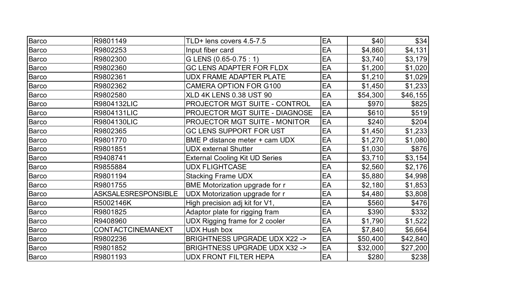| Barco        | R9801149                   | TLD+ lens covers 4.5-7.5                | EA | \$40     | \$34]    |
|--------------|----------------------------|-----------------------------------------|----|----------|----------|
| Barco        | R9802253                   | Input fiber card                        | EA | \$4,860  | \$4,131  |
| Barco        | R9802300                   | G LENS (0.65-0.75 : 1)                  | EA | \$3,740  | \$3,179  |
| <b>Barco</b> | R9802360                   | <b>GC LENS ADAPTER FOR FLDX</b>         | EA | \$1,200  | \$1,020  |
| Barco        | R9802361                   | <b>UDX FRAME ADAPTER PLATE</b>          | EA | \$1,210  | \$1,029  |
| <b>Barco</b> | R9802362                   | <b>CAMERA OPTION FOR G100</b>           | EA | \$1,450  | \$1,233  |
| Barco        | R9802580                   | <b>XLD 4K LENS 0.38 UST 90</b>          | EA | \$54,300 | \$46,155 |
| <b>Barco</b> | R9804132LIC                | PROJECTOR MGT SUITE - CONTROL           | EA | \$970    | \$825    |
| <b>Barco</b> | R9804131LIC                | PROJECTOR MGT SUITE - DIAGNOSE          | EA | \$610    | \$519    |
| <b>Barco</b> | R9804130LIC                | PROJECTOR MGT SUITE - MONITOR           | EA | \$240    | \$204]   |
| <b>Barco</b> | R9802365                   | <b>GC LENS SUPPORT FOR UST</b>          | EA | \$1,450  | \$1,233  |
| Barco        | R9801770                   | BME P distance meter + cam UDX          | EA | \$1,270  | \$1,080  |
| <b>Barco</b> | R9801851                   | <b>UDX</b> external Shutter             | EA | \$1,030  | \$876    |
| Barco        | R9408741                   | <b>External Cooling Kit UD Series</b>   | EA | \$3,710  | \$3,154  |
| <b>Barco</b> | R9855884                   | <b>UDX FLIGHTCASE</b>                   | EA | \$2,560  | \$2,176  |
| <b>Barco</b> | R9801194                   | <b>Stacking Frame UDX</b>               | EA | \$5,880  | \$4,998  |
| <b>Barco</b> | R9801755                   | <b>BME Motorization upgrade for r</b>   | EA | \$2,180  | \$1,853  |
| <b>Barco</b> | <b>ASKSALESRESPONSIBLE</b> | UDX Motorization upgrade for r          | EA | \$4,480  | \$3,808  |
| <b>Barco</b> | R5002146K                  | High precision adj kit for V1,          | EA | \$560    | \$476    |
| <b>Barco</b> | R9801825                   | Adaptor plate for rigging fram          | EA | \$390    | \$332    |
| Barco        | R9408960                   | UDX Rigging frame for 2 cooler          | EA | \$1,790  | \$1,522  |
| <b>Barco</b> | CONTACTCINEMANEXT          | <b>UDX Hush box</b>                     | EA | \$7,840  | \$6,664  |
| <b>Barco</b> | R9802236                   | <b>BRIGHTNESS UPGRADE UDX X22 -&gt;</b> | EA | \$50,400 | \$42,840 |
| <b>Barco</b> | R9801852                   | <b>BRIGHTNESS UPGRADE UDX X32 -&gt;</b> | EA | \$32,000 | \$27,200 |
| Barco        | R9801193                   | <b>UDX FRONT FILTER HEPA</b>            | EA | \$280    | \$238    |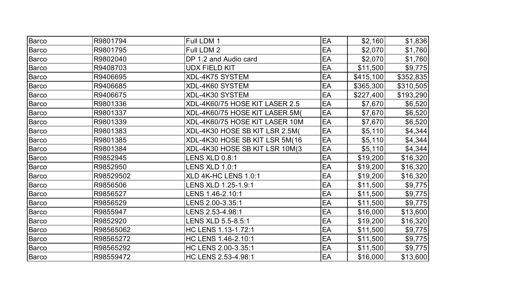| <b>Barco</b> | R9801794  | Full LDM 1                     | EA | \$2,160   | \$1,836   |
|--------------|-----------|--------------------------------|----|-----------|-----------|
| <b>Barco</b> | R9801795  | Full LDM 2                     | EA | \$2,070   | \$1,760   |
| <b>Barco</b> | R9802040  | DP 1.2 and Audio card          | EA | \$2,070   | \$1,760   |
| <b>Barco</b> | R9408703  | <b>UDX FIELD KIT</b>           | EA | \$11,500  | \$9,775   |
| <b>Barco</b> | R9406695  | <b>XDL-4K75 SYSTEM</b>         | EA | \$415,100 | \$352,835 |
| <b>Barco</b> | R9406685  | XDL-4K60 SYSTEM                | EA | \$365,300 | \$310,505 |
| <b>Barco</b> | R9406675  | XDL-4K30 SYSTEM                | EA | \$227,400 | \$193,290 |
| Barco        | R9801336  | XDL-4K60/75 HOSE KIT LASER 2.5 | EA | \$7,670   | \$6,520   |
| <b>Barco</b> | R9801337  | XDL-4K60/75 HOSE KIT LASER 5M( | EA | \$7,670   | \$6,520   |
| <b>Barco</b> | R9801339  | XDL-4K60/75 HOSE KIT LASER 10M | EA | \$7,670   | \$6,520   |
| <b>Barco</b> | R9801383  | XDL-4K30 HOSE SB KIT LSR 2.5M( | EA | \$5,110   | \$4,344   |
| <b>Barco</b> | R9801385  | XDL-4K30 HOSE SB KIT LSR 5M(16 | EA | \$5,110   | \$4,344   |
| <b>Barco</b> | R9801384  | XDL-4K30 HOSE SB KIT LSR 10M(3 | EA | \$5,110   | \$4,344   |
| <b>Barco</b> | R9852945  | <b>LENS XLD 0.8:1</b>          | EA | \$19,200  | \$16,320  |
| <b>Barco</b> | R9852950  | <b>LENS XLD 1.0:1</b>          | EA | \$19,200  | \$16,320  |
| <b>Barco</b> | R98529502 | XLD 4K-HC LENS 1.0:1           | EA | \$19,200  | \$16,320  |
| <b>Barco</b> | R9856506  | LENS XLD 1.25-1.9:1            | EA | \$11,500  | \$9,775   |
| <b>Barco</b> | R9856527  |                                | EA | \$11,500  | \$9,775   |
| <b>Barco</b> | R9856529  | LENS 2.00-3.35:1               | EA | \$11,500  | \$9,775   |
| Barco        | R9855947  | LENS 2.53-4.98:1               | EA | \$16,000  | \$13,600  |
| Barco        | R9852920  | LENS XLD 5.5-8.5:1             | EA | \$19,200  | \$16,320  |
| <b>Barco</b> | R98565062 | HC LENS 1.13-1.72:1            | EA | \$11,500  | \$9,775   |
| Barco        | R98565272 | HC LENS 1.46-2.10:1            | EA | \$11,500  | \$9,775   |
| <b>Barco</b> | R98565292 | HC LENS 2.00-3.35:1            | EA | \$11,500  | \$9,775   |
| <b>Barco</b> | R98559472 | HC LENS 2.53-4.98:1            | EA | \$16,000  | \$13,600  |